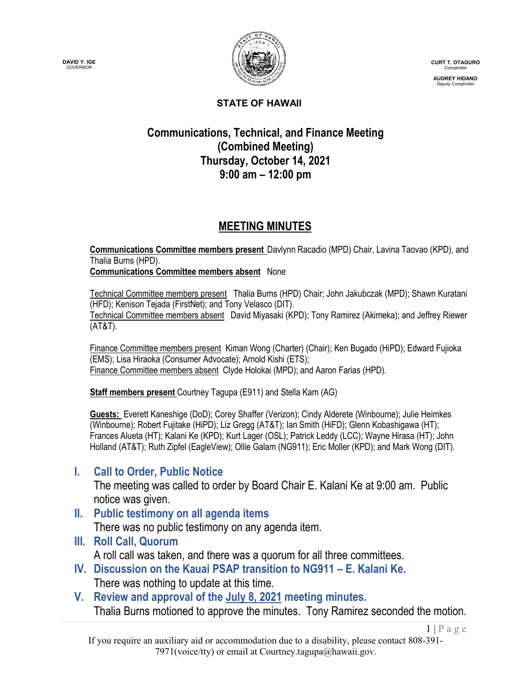



**CURT T. OTAGURO** Comptroller

**AUDREY HIDANO** Deputy Comptroller

 $1 | P \text{ a } g \text{ e}$ 

#### **STATE OF HAWAII**

### **Communications, Technical, and Finance Meeting (Combined Meeting) Thursday, October 14, 2021 9:00 am – 12:00 pm**

### **MEETING MINUTES**

**Communications Committee members present** Davlynn Racadio (MPD) Chair, Lavina Taovao (KPD), and Thalia Burns (HPD). **Communications Committee members absent** None

Technical Committee members present Thalia Burns (HPD) Chair; John Jakubczak (MPD); Shawn Kuratani (HFD); Kenison Tejada (FirstNet); and Tony Velasco (DIT). Technical Committee members absent David Miyasaki (KPD); Tony Ramirez (Akimeka); and Jeffrey Riewer (AT&T).

Finance Committee members present Kiman Wong (Charter) (Chair); Ken Bugado (HiPD); Edward Fujioka (EMS); Lisa Hiraoka (Consumer Advocate); Arnold Kishi (ETS); Finance Committee members absent Clyde Holokai (MPD); and Aaron Farias (HPD).

**Staff members present** Courtney Tagupa (E911) and Stella Kam (AG)

**Guests:** Everett Kaneshige (DoD); Corey Shaffer (Verizon); Cindy Alderete (Winbourne); Julie Heimkes (Winbourne); Robert Fujitake (HiPD); Liz Gregg (AT&T); Ian Smith (HiFD); Glenn Kobashigawa (HT); Frances Alueta (HT); Kalani Ke (KPD); Kurt Lager (OSL); Patrick Leddy (LCC); Wayne Hirasa (HT); John Holland (AT&T); Ruth Zipfel (EagleView); Ollie Galam (NG911); Eric Moller (KPD); and Mark Wong (DIT).

### **I. Call to Order, Public Notice**

The meeting was called to order by Board Chair E. Kalani Ke at 9:00 am. Public notice was given.

**II. Public testimony on all agenda items**

There was no public testimony on any agenda item.

**III. Roll Call, Quorum**

A roll call was taken, and there was a quorum for all three committees.

- **IV. Discussion on the Kauai PSAP transition to NG911 – E. Kalani Ke.** There was nothing to update at this time.
- **V. Review and approval of the July 8, 2021 meeting minutes.** Thalia Burns motioned to approve the minutes. Tony Ramirez seconded the motion.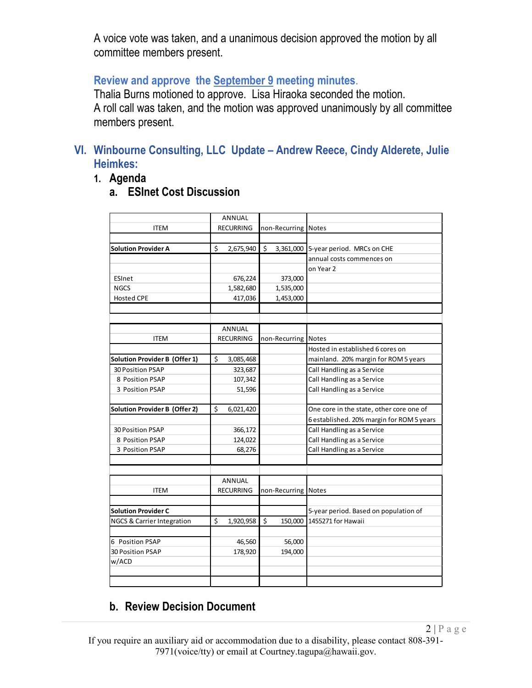A voice vote was taken, and a unanimous decision approved the motion by all committee members present.

### **Review and approve the September 9 meeting minutes**.

Thalia Burns motioned to approve. Lisa Hiraoka seconded the motion. A roll call was taken, and the motion was approved unanimously by all committee members present.

### **VI. Winbourne Consulting, LLC Update – Andrew Reece, Cindy Alderete, Julie Heimkes:**

**1. Agenda**

### **a. ESInet Cost Discussion**

|                                      | <b>ANNUAL</b>    |                     |                                           |  |
|--------------------------------------|------------------|---------------------|-------------------------------------------|--|
| <b>ITEM</b>                          | <b>RECURRING</b> | non-Recurring Notes |                                           |  |
|                                      |                  |                     |                                           |  |
| <b>Solution Provider A</b>           | \$<br>2,675,940  | \$                  | 3,361,000 5-year period. MRCs on CHE      |  |
|                                      |                  |                     | annual costs commences on                 |  |
|                                      |                  |                     | on Year 2                                 |  |
| ESInet                               | 676,224          | 373,000             |                                           |  |
| <b>NGCS</b>                          | 1,582,680        | 1,535,000           |                                           |  |
| <b>Hosted CPE</b>                    | 417,036          | 1,453,000           |                                           |  |
|                                      |                  |                     |                                           |  |
|                                      |                  |                     |                                           |  |
|                                      | <b>ANNUAL</b>    |                     |                                           |  |
| <b>ITEM</b>                          | <b>RECURRING</b> | non-Recurring Notes |                                           |  |
|                                      |                  |                     | Hosted in established 6 cores on          |  |
| <b>Solution Provider B (Offer 1)</b> | \$<br>3,085,468  |                     | mainland. 20% margin for ROM 5 years      |  |
| 30 Position PSAP                     | 323,687          |                     | Call Handling as a Service                |  |
| 8 Position PSAP                      | 107,342          |                     | Call Handling as a Service                |  |
| 3 Position PSAP                      | 51,596           |                     | Call Handling as a Service                |  |
| <b>Solution Provider B (Offer 2)</b> | \$<br>6,021,420  |                     | One core in the state, other core one of  |  |
|                                      |                  |                     | 6 established. 20% margin for ROM 5 years |  |
| 30 Position PSAP                     | 366,172          |                     | Call Handling as a Service                |  |
| 8 Position PSAP                      | 124,022          |                     | Call Handling as a Service                |  |
| 3 Position PSAP                      | 68,276           |                     | Call Handling as a Service                |  |
|                                      |                  |                     |                                           |  |
|                                      |                  |                     |                                           |  |
|                                      | ANNUAL           |                     |                                           |  |
| <b>ITEM</b>                          | <b>RECURRING</b> | non-Recurring Notes |                                           |  |
|                                      |                  |                     |                                           |  |
| <b>Solution Provider C</b>           |                  |                     | 5-year period. Based on population of     |  |
| NGCS & Carrier Integration           | \$<br>1,920,958  | \$<br>150,000       | 1455271 for Hawaii                        |  |
|                                      |                  |                     |                                           |  |
| 6 Position PSAP                      | 46,560           | 56,000              |                                           |  |
| 30 Position PSAP                     | 178,920          | 194,000             |                                           |  |
| w/ACD                                |                  |                     |                                           |  |
|                                      |                  |                     |                                           |  |

### **b. Review Decision Document**

If you require an auxiliary aid or accommodation due to a disability, please contact 808-391- 7971(voice/tty) or email at Courtney.tagupa@hawaii.gov.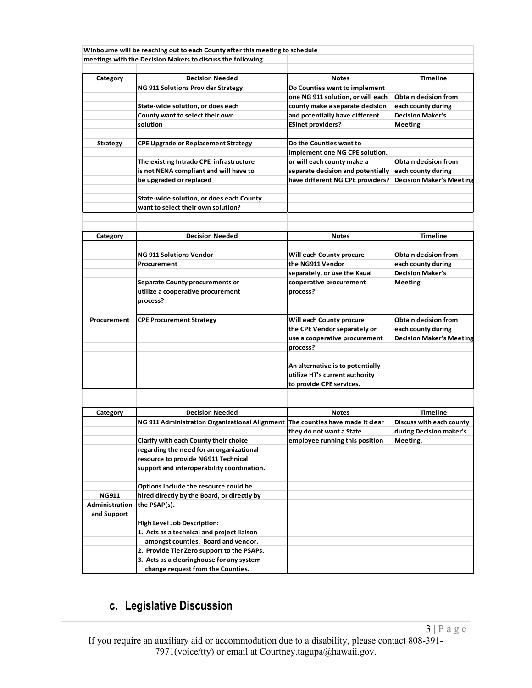|                 | Winbourne will be reaching out to each County after this meeting to schedule   |                                   |                                 |
|-----------------|--------------------------------------------------------------------------------|-----------------------------------|---------------------------------|
|                 | meetings with the Decision Makers to discuss the following                     |                                   |                                 |
|                 |                                                                                |                                   |                                 |
| Category        | <b>Decision Needed</b>                                                         | <b>Notes</b>                      | <b>Timeline</b>                 |
|                 | <b>NG 911 Solutions Provider Strategy</b>                                      | Do Counties want to implement     |                                 |
|                 |                                                                                | one NG 911 solution, or will each | <b>Obtain decision from</b>     |
|                 | State-wide solution, or does each                                              | county make a separate decision   | each county during              |
|                 | County want to select their own                                                | and potentially have different    | <b>Decision Maker's</b>         |
|                 | solution                                                                       | <b>ESInet providers?</b>          | <b>Meeting</b>                  |
|                 |                                                                                |                                   |                                 |
| <b>Strategy</b> | CPE Upgrade or Replacement Strategy                                            | Do the Counties want to           |                                 |
|                 |                                                                                | implement one NG CPE solution,    |                                 |
|                 | The existing Intrado CPE infrastructure                                        | or will each county make a        | <b>Obtain decision from</b>     |
|                 | is not NENA compliant and will have to                                         | separate decision and potentially | each county during              |
|                 | be upgraded or replaced                                                        | have different NG CPE providers?  | <b>Decision Maker's Meeting</b> |
|                 |                                                                                |                                   |                                 |
|                 | State-wide solution, or does each County                                       |                                   |                                 |
|                 | want to select their own solution?                                             |                                   |                                 |
|                 |                                                                                |                                   |                                 |
|                 |                                                                                |                                   |                                 |
| Category        | <b>Decision Needed</b>                                                         | <b>Notes</b>                      | <b>Timeline</b>                 |
|                 |                                                                                |                                   |                                 |
|                 | <b>NG 911 Solutions Vendor</b>                                                 | Will each County procure          | <b>Obtain decision from</b>     |
|                 | Procurement                                                                    | the NG911 Vendor                  | each county during              |
|                 |                                                                                | separately, or use the Kauai      | <b>Decision Maker's</b>         |
|                 | <b>Separate County procurements or</b>                                         | cooperative procurement           | <b>Meeting</b>                  |
|                 | utilize a cooperative procurement                                              | process?                          |                                 |
|                 | process?                                                                       |                                   |                                 |
|                 |                                                                                |                                   |                                 |
| Procurement     | <b>CPE Procurement Strategy</b>                                                | Will each County procure          | <b>Obtain decision from</b>     |
|                 |                                                                                | the CPE Vendor separately or      | each county during              |
|                 |                                                                                | use a cooperative procurement     | <b>Decision Maker's Meeting</b> |
|                 |                                                                                | process?                          |                                 |
|                 |                                                                                |                                   |                                 |
|                 |                                                                                | An alternative is to potentially  |                                 |
|                 |                                                                                | utilize HT's current authority    |                                 |
|                 |                                                                                | to provide CPE services.          |                                 |
|                 |                                                                                |                                   |                                 |
|                 |                                                                                |                                   |                                 |
| Category        | <b>Decision Needed</b>                                                         | <b>Notes</b>                      | <b>Timeline</b>                 |
|                 |                                                                                |                                   |                                 |
|                 | NG 911 Administration Organizational Alignment The counties have made it clear |                                   | Discuss with each county        |
|                 |                                                                                | they do not want a State          | during Decision maker's         |
|                 | Clarify with each County their choice                                          | employee running this position    | Meeting.                        |
|                 | regarding the need for an organizational                                       |                                   |                                 |
|                 | resource to provide NG911 Technical                                            |                                   |                                 |
|                 | support and interoperability coordination.                                     |                                   |                                 |
|                 |                                                                                |                                   |                                 |
|                 | Options include the resource could be                                          |                                   |                                 |
| <b>NG911</b>    | hired directly by the Board, or directly by                                    |                                   |                                 |
| Administration  | the PSAP(s).                                                                   |                                   |                                 |
| and Support     |                                                                                |                                   |                                 |
|                 | <b>High Level Job Description:</b>                                             |                                   |                                 |
|                 | 1. Acts as a technical and project liaison                                     |                                   |                                 |
|                 | amongst counties. Board and vendor.                                            |                                   |                                 |
|                 | 2. Provide Tier Zero support to the PSAPs.                                     |                                   |                                 |
|                 | 3. Acts as a clearinghouse for any system                                      |                                   |                                 |

# **c. Legislative Discussion**

If you require an auxiliary aid or accommodation due to a disability, please contact 808-391- 7971(voice/tty) or email at Courtney.tagupa@hawaii.gov.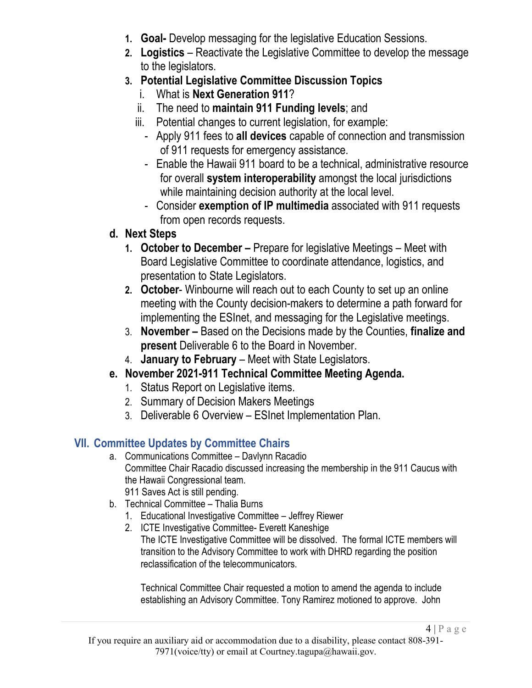- **1. Goal-** Develop messaging for the legislative Education Sessions.
- **2. Logistics** Reactivate the Legislative Committee to develop the message to the legislators.
- **3. Potential Legislative Committee Discussion Topics**
	- i. What is **Next Generation 911**?
	- ii. The need to **maintain 911 Funding levels**; and
	- iii. Potential changes to current legislation, for example:
		- Apply 911 fees to **all devices** capable of connection and transmission of 911 requests for emergency assistance.
		- Enable the Hawaii 911 board to be a technical, administrative resource for overall **system interoperability** amongst the local jurisdictions while maintaining decision authority at the local level.
		- Consider **exemption of IP multimedia** associated with 911 requests from open records requests.

## **d. Next Steps**

- **1. October to December –** Prepare for legislative Meetings Meet with Board Legislative Committee to coordinate attendance, logistics, and presentation to State Legislators.
- **2. October** Winbourne will reach out to each County to set up an online meeting with the County decision-makers to determine a path forward for implementing the ESInet, and messaging for the Legislative meetings.
- 3. **November –** Based on the Decisions made by the Counties, **finalize and present** Deliverable 6 to the Board in November.
- 4. **January to February**  Meet with State Legislators.
- **e. November 2021-911 Technical Committee Meeting Agenda.**
	- 1. Status Report on Legislative items.
	- 2. Summary of Decision Makers Meetings
	- 3. Deliverable 6 Overview ESInet Implementation Plan.

# **VII. Committee Updates by Committee Chairs**

- a. Communications Committee Davlynn Racadio Committee Chair Racadio discussed increasing the membership in the 911 Caucus with the Hawaii Congressional team. 911 Saves Act is still pending.
- b. Technical Committee Thalia Burns
	- 1. Educational Investigative Committee Jeffrey Riewer
	- 2. ICTE Investigative Committee- Everett Kaneshige The ICTE Investigative Committee will be dissolved. The formal ICTE members will transition to the Advisory Committee to work with DHRD regarding the position reclassification of the telecommunicators.

Technical Committee Chair requested a motion to amend the agenda to include establishing an Advisory Committee. Tony Ramirez motioned to approve. John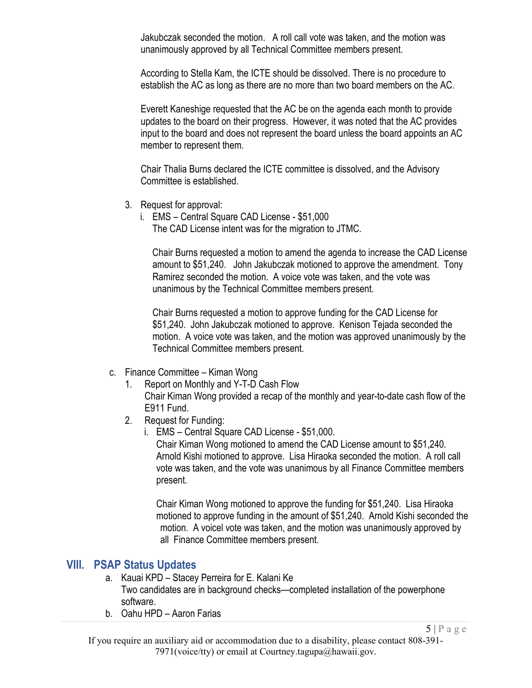Jakubczak seconded the motion. A roll call vote was taken, and the motion was unanimously approved by all Technical Committee members present.

According to Stella Kam, the ICTE should be dissolved. There is no procedure to establish the AC as long as there are no more than two board members on the AC.

Everett Kaneshige requested that the AC be on the agenda each month to provide updates to the board on their progress. However, it was noted that the AC provides input to the board and does not represent the board unless the board appoints an AC member to represent them.

Chair Thalia Burns declared the ICTE committee is dissolved, and the Advisory Committee is established.

- 3. Request for approval:
	- i. EMS Central Square CAD License \$51,000 The CAD License intent was for the migration to JTMC.

Chair Burns requested a motion to amend the agenda to increase the CAD License amount to \$51,240. John Jakubczak motioned to approve the amendment. Tony Ramirez seconded the motion. A voice vote was taken, and the vote was unanimous by the Technical Committee members present.

Chair Burns requested a motion to approve funding for the CAD License for \$51,240. John Jakubczak motioned to approve. Kenison Tejada seconded the motion. A voice vote was taken, and the motion was approved unanimously by the Technical Committee members present.

- c. Finance Committee Kiman Wong
	- 1. Report on Monthly and Y-T-D Cash Flow Chair Kiman Wong provided a recap of the monthly and year-to-date cash flow of the E911 Fund.
	- 2. Request for Funding:
		- i. EMS Central Square CAD License \$51,000.

Chair Kiman Wong motioned to amend the CAD License amount to \$51,240. Arnold Kishi motioned to approve. Lisa Hiraoka seconded the motion. A roll call vote was taken, and the vote was unanimous by all Finance Committee members present.

Chair Kiman Wong motioned to approve the funding for \$51,240. Lisa Hiraoka motioned to approve funding in the amount of \$51,240. Arnold Kishi seconded the motion. A voicel vote was taken, and the motion was unanimously approved by all Finance Committee members present.

#### **VIII. PSAP Status Updates**

- a. Kauai KPD Stacey Perreira for E. Kalani Ke Two candidates are in background checks—completed installation of the powerphone software.
- b. Oahu HPD Aaron Farias